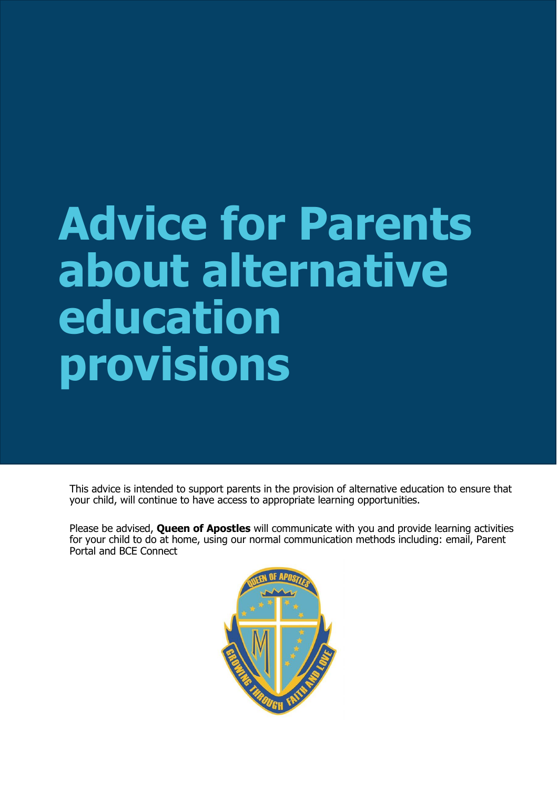# **Advice for Parents about alternative education provisions**

This advice is intended to support parents in the provision of alternative education to ensure that your child, will continue to have access to appropriate learning opportunities.

Please be advised, **Queen of Apostles** will communicate with you and provide learning activities for your child to do at home, using our normal communication methods including: email, Parent Portal and BCE Connect

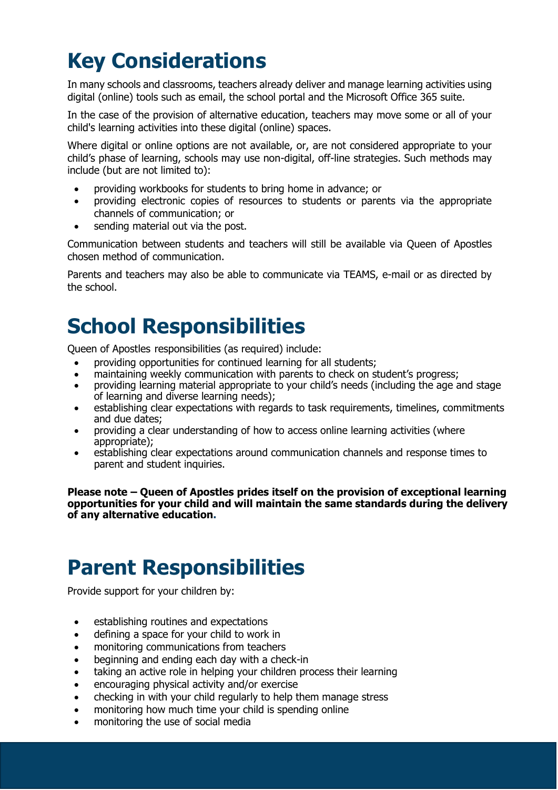# **Key Considerations**

In many schools and classrooms, teachers already deliver and manage learning activities using digital (online) tools such as email, the school portal and the Microsoft Office 365 suite.

In the case of the provision of alternative education, teachers may move some or all of your child's learning activities into these digital (online) spaces.

Where digital or online options are not available, or, are not considered appropriate to your child's phase of learning, schools may use non-digital, off-line strategies. Such methods may include (but are not limited to):

- providing workbooks for students to bring home in advance; or
- providing electronic copies of resources to students or parents via the appropriate channels of communication; or
- sending material out via the post.

Communication between students and teachers will still be available via Queen of Apostles chosen method of communication.

Parents and teachers may also be able to communicate via TEAMS, e-mail or as directed by the school.

## **School Responsibilities**

Queen of Apostles responsibilities (as required) include:

- providing opportunities for continued learning for all students;
- maintaining weekly communication with parents to check on student's progress;
- providing learning material appropriate to your child's needs (including the age and stage of learning and diverse learning needs);
- establishing clear expectations with regards to task requirements, timelines, commitments and due dates;
- providing a clear understanding of how to access online learning activities (where appropriate);
- establishing clear expectations around communication channels and response times to parent and student inquiries.

**Please note – Queen of Apostles prides itself on the provision of exceptional learning opportunities for your child and will maintain the same standards during the delivery of any alternative education.**

## **Parent Responsibilities**

Provide support for your children by:

- establishing routines and expectations
- defining a space for your child to work in
- monitoring communications from teachers
- beginning and ending each day with a check-in
- taking an active role in helping your children process their learning
- encouraging physical activity and/or exercise
- checking in with your child regularly to help them manage stress
- monitoring how much time your child is spending online
- monitoring the use of social media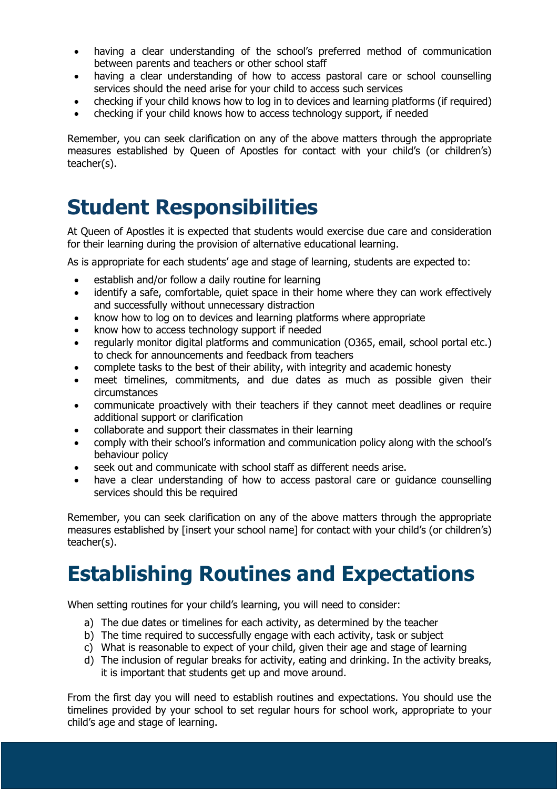- having a clear understanding of the school's preferred method of communication between parents and teachers or other school staff
- having a clear understanding of how to access pastoral care or school counselling services should the need arise for your child to access such services
- checking if your child knows how to log in to devices and learning platforms (if required)
- checking if your child knows how to access technology support, if needed

Remember, you can seek clarification on any of the above matters through the appropriate measures established by Queen of Apostles for contact with your child's (or children's) teacher(s).

#### **Student Responsibilities**

At Queen of Apostles it is expected that students would exercise due care and consideration for their learning during the provision of alternative educational learning.

As is appropriate for each students' age and stage of learning, students are expected to:

- **e** establish and/or follow a daily routine for learning
- identify a safe, comfortable, quiet space in their home where they can work effectively and successfully without unnecessary distraction
- know how to log on to devices and learning platforms where appropriate
- know how to access technology support if needed
- regularly monitor digital platforms and communication (O365, email, school portal etc.) to check for announcements and feedback from teachers
- complete tasks to the best of their ability, with integrity and academic honesty
- meet timelines, commitments, and due dates as much as possible given their circumstances
- communicate proactively with their teachers if they cannot meet deadlines or require additional support or clarification
- collaborate and support their classmates in their learning
- comply with their school's information and communication policy along with the school's behaviour policy
- seek out and communicate with school staff as different needs arise.
- have a clear understanding of how to access pastoral care or guidance counselling services should this be required

Remember, you can seek clarification on any of the above matters through the appropriate measures established by [insert your school name] for contact with your child's (or children's) teacher(s).

#### **Establishing Routines and Expectations**

When setting routines for your child's learning, you will need to consider:

- a) The due dates or timelines for each activity, as determined by the teacher
- b) The time required to successfully engage with each activity, task or subject
- c) What is reasonable to expect of your child, given their age and stage of learning
- d) The inclusion of regular breaks for activity, eating and drinking. In the activity breaks, it is important that students get up and move around.

From the first day you will need to establish routines and expectations. You should use the timelines provided by your school to set regular hours for school work, appropriate to your child's age and stage of learning.